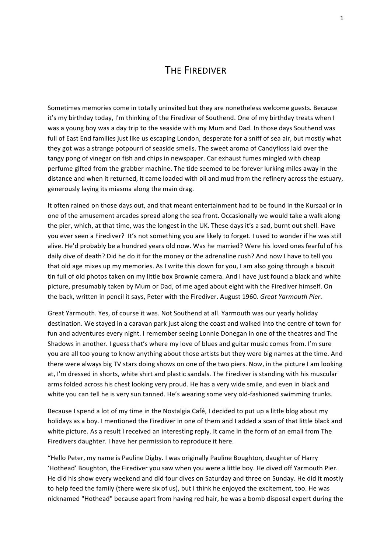## **THE FIREDIVER**

Sometimes memories come in totally uninvited but they are nonetheless welcome guests. Because it's my birthday today, I'm thinking of the Firediver of Southend. One of my birthday treats when I was a young boy was a day trip to the seaside with my Mum and Dad. In those days Southend was full of East End families just like us escaping London, desperate for a sniff of sea air, but mostly what they got was a strange potpourri of seaside smells. The sweet aroma of Candyfloss laid over the tangy pong of vinegar on fish and chips in newspaper. Car exhaust fumes mingled with cheap perfume gifted from the grabber machine. The tide seemed to be forever lurking miles away in the distance and when it returned, it came loaded with oil and mud from the refinery across the estuary, generously laying its miasma along the main drag.

It often rained on those days out, and that meant entertainment had to be found in the Kursaal or in one of the amusement arcades spread along the sea front. Occasionally we would take a walk along the pier, which, at that time, was the longest in the UK. These days it's a sad, burnt out shell. Have you ever seen a Firediver? It's not something you are likely to forget. I used to wonder if he was still alive. He'd probably be a hundred years old now. Was he married? Were his loved ones fearful of his daily dive of death? Did he do it for the money or the adrenaline rush? And now I have to tell you that old age mixes up my memories. As I write this down for you, I am also going through a biscuit tin full of old photos taken on my little box Brownie camera. And I have just found a black and white picture, presumably taken by Mum or Dad, of me aged about eight with the Firediver himself. On the back, written in pencil it says, Peter with the Firediver. August 1960. *Great Yarmouth Pier*.

Great Yarmouth. Yes, of course it was. Not Southend at all. Yarmouth was our yearly holiday destination. We stayed in a caravan park just along the coast and walked into the centre of town for fun and adventures every night. I remember seeing Lonnie Donegan in one of the theatres and The Shadows in another. I guess that's where my love of blues and guitar music comes from. I'm sure you are all too young to know anything about those artists but they were big names at the time. And there were always big TV stars doing shows on one of the two piers. Now, in the picture I am looking at, I'm dressed in shorts, white shirt and plastic sandals. The Firediver is standing with his muscular arms folded across his chest looking very proud. He has a very wide smile, and even in black and white you can tell he is very sun tanned. He's wearing some very old-fashioned swimming trunks.

Because I spend a lot of my time in the Nostalgia Café, I decided to put up a little blog about my holidays as a boy. I mentioned the Firediver in one of them and I added a scan of that little black and white picture. As a result I received an interesting reply. It came in the form of an email from The Firedivers daughter. I have her permission to reproduce it here.

"Hello Peter, my name is Pauline Digby. I was originally Pauline Boughton, daughter of Harry 'Hothead' Boughton, the Firediver you saw when you were a little boy. He dived off Yarmouth Pier. He did his show every weekend and did four dives on Saturday and three on Sunday. He did it mostly to help feed the family (there were six of us), but I think he enjoyed the excitement, too. He was nicknamed "Hothead" because apart from having red hair, he was a bomb disposal expert during the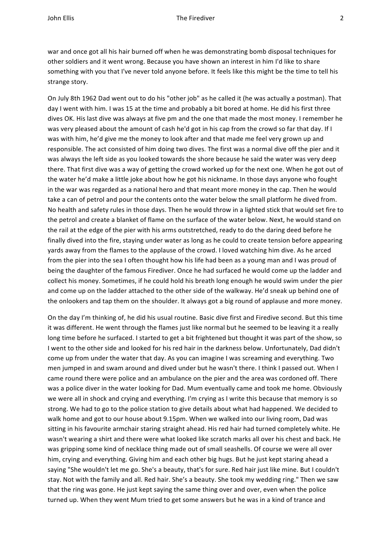war and once got all his hair burned off when he was demonstrating bomb disposal techniques for other soldiers and it went wrong. Because you have shown an interest in him I'd like to share something with you that I've never told anyone before. It feels like this might be the time to tell his strange story.

On July 8th 1962 Dad went out to do his "other job" as he called it (he was actually a postman). That day I went with him. I was 15 at the time and probably a bit bored at home. He did his first three dives OK. His last dive was always at five pm and the one that made the most money. I remember he was very pleased about the amount of cash he'd got in his cap from the crowd so far that day. If I was with him, he'd give me the money to look after and that made me feel very grown up and responsible. The act consisted of him doing two dives. The first was a normal dive off the pier and it was always the left side as you looked towards the shore because he said the water was very deep there. That first dive was a way of getting the crowd worked up for the next one. When he got out of the water he'd make a little joke about how he got his nickname. In those days anyone who fought in the war was regarded as a national hero and that meant more money in the cap. Then he would take a can of petrol and pour the contents onto the water below the small platform he dived from. No health and safety rules in those days. Then he would throw in a lighted stick that would set fire to the petrol and create a blanket of flame on the surface of the water below. Next, he would stand on the rail at the edge of the pier with his arms outstretched, ready to do the daring deed before he finally dived into the fire, staying under water as long as he could to create tension before appearing yards away from the flames to the applause of the crowd. I loved watching him dive. As he arced from the pier into the sea I often thought how his life had been as a young man and I was proud of being the daughter of the famous Firediver. Once he had surfaced he would come up the ladder and collect his money. Sometimes, if he could hold his breath long enough he would swim under the pier and come up on the ladder attached to the other side of the walkway. He'd sneak up behind one of the onlookers and tap them on the shoulder. It always got a big round of applause and more money.

On the day I'm thinking of, he did his usual routine. Basic dive first and Firedive second. But this time it was different. He went through the flames just like normal but he seemed to be leaving it a really long time before he surfaced. I started to get a bit frightened but thought it was part of the show, so I went to the other side and looked for his red hair in the darkness below. Unfortunately, Dad didn't come up from under the water that day. As you can imagine I was screaming and everything. Two men jumped in and swam around and dived under but he wasn't there. I think I passed out. When I came round there were police and an ambulance on the pier and the area was cordoned off. There was a police diver in the water looking for Dad. Mum eventually came and took me home. Obviously we were all in shock and crying and everything. I'm crying as I write this because that memory is so strong. We had to go to the police station to give details about what had happened. We decided to walk home and got to our house about 9.15pm. When we walked into our living room, Dad was sitting in his favourite armchair staring straight ahead. His red hair had turned completely white. He wasn't wearing a shirt and there were what looked like scratch marks all over his chest and back. He was gripping some kind of necklace thing made out of small seashells. Of course we were all over him, crying and everything. Giving him and each other big hugs. But he just kept staring ahead a saying "She wouldn't let me go. She's a beauty, that's for sure. Red hair just like mine. But I couldn't stay. Not with the family and all. Red hair. She's a beauty. She took my wedding ring." Then we saw that the ring was gone. He just kept saying the same thing over and over, even when the police turned up. When they went Mum tried to get some answers but he was in a kind of trance and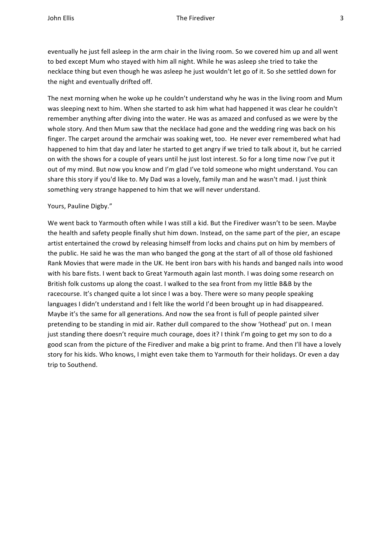eventually he just fell asleep in the arm chair in the living room. So we covered him up and all went to bed except Mum who stayed with him all night. While he was asleep she tried to take the necklace thing but even though he was asleep he just wouldn't let go of it. So she settled down for the night and eventually drifted off.

The next morning when he woke up he couldn't understand why he was in the living room and Mum was sleeping next to him. When she started to ask him what had happened it was clear he couldn't remember anything after diving into the water. He was as amazed and confused as we were by the whole story. And then Mum saw that the necklace had gone and the wedding ring was back on his finger. The carpet around the armchair was soaking wet, too. He never ever remembered what had happened to him that day and later he started to get angry if we tried to talk about it, but he carried on with the shows for a couple of years until he just lost interest. So for a long time now I've put it out of my mind. But now you know and I'm glad I've told someone who might understand. You can share this story if you'd like to. My Dad was a lovely, family man and he wasn't mad. I just think something very strange happened to him that we will never understand.

## Yours, Pauline Digby."

We went back to Yarmouth often while I was still a kid. But the Firediver wasn't to be seen. Maybe the health and safety people finally shut him down. Instead, on the same part of the pier, an escape artist entertained the crowd by releasing himself from locks and chains put on him by members of the public. He said he was the man who banged the gong at the start of all of those old fashioned Rank Movies that were made in the UK. He bent iron bars with his hands and banged nails into wood with his bare fists. I went back to Great Yarmouth again last month. I was doing some research on British folk customs up along the coast. I walked to the sea front from my little B&B by the racecourse. It's changed quite a lot since I was a boy. There were so many people speaking languages I didn't understand and I felt like the world I'd been brought up in had disappeared. Maybe it's the same for all generations. And now the sea front is full of people painted silver pretending to be standing in mid air. Rather dull compared to the show 'Hothead' put on. I mean just standing there doesn't require much courage, does it? I think I'm going to get my son to do a good scan from the picture of the Firediver and make a big print to frame. And then I'll have a lovely story for his kids. Who knows, I might even take them to Yarmouth for their holidays. Or even a day trip to Southend.